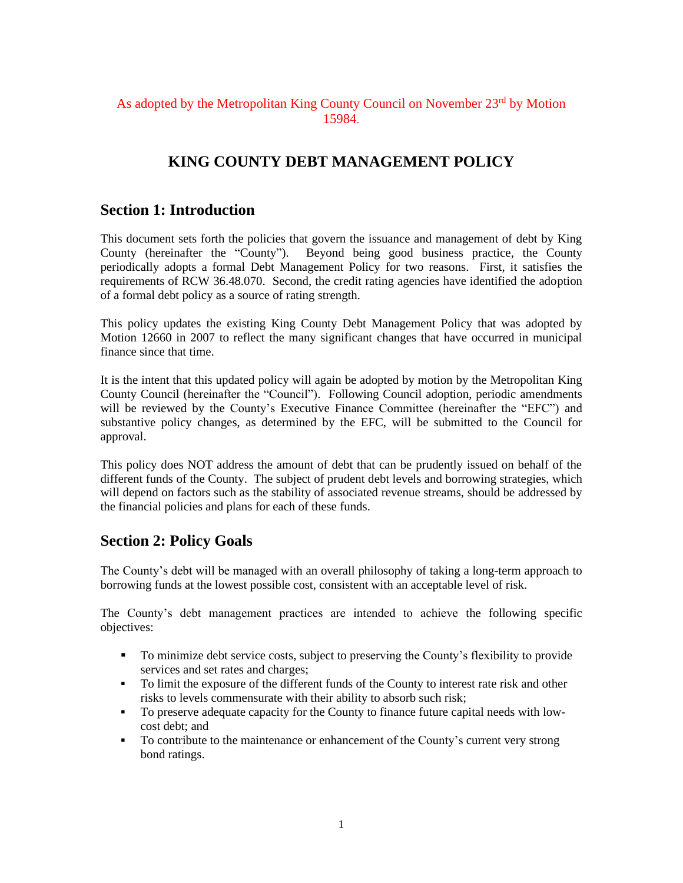## As adopted by the Metropolitan King County Council on November 23<sup>rd</sup> by Motion 15984.

# **KING COUNTY DEBT MANAGEMENT POLICY**

## **Section 1: Introduction**

This document sets forth the policies that govern the issuance and management of debt by King County (hereinafter the "County"). Beyond being good business practice, the County periodically adopts a formal Debt Management Policy for two reasons. First, it satisfies the requirements of RCW 36.48.070. Second, the credit rating agencies have identified the adoption of a formal debt policy as a source of rating strength.

This policy updates the existing King County Debt Management Policy that was adopted by Motion 12660 in 2007 to reflect the many significant changes that have occurred in municipal finance since that time.

It is the intent that this updated policy will again be adopted by motion by the Metropolitan King County Council (hereinafter the "Council"). Following Council adoption, periodic amendments will be reviewed by the County's Executive Finance Committee (hereinafter the "EFC") and substantive policy changes, as determined by the EFC, will be submitted to the Council for approval.

This policy does NOT address the amount of debt that can be prudently issued on behalf of the different funds of the County. The subject of prudent debt levels and borrowing strategies, which will depend on factors such as the stability of associated revenue streams, should be addressed by the financial policies and plans for each of these funds.

## **Section 2: Policy Goals**

The County's debt will be managed with an overall philosophy of taking a long-term approach to borrowing funds at the lowest possible cost, consistent with an acceptable level of risk.

The County's debt management practices are intended to achieve the following specific objectives:

- To minimize debt service costs, subject to preserving the County's flexibility to provide services and set rates and charges;
- To limit the exposure of the different funds of the County to interest rate risk and other risks to levels commensurate with their ability to absorb such risk;
- To preserve adequate capacity for the County to finance future capital needs with lowcost debt; and
- To contribute to the maintenance or enhancement of the County's current very strong bond ratings.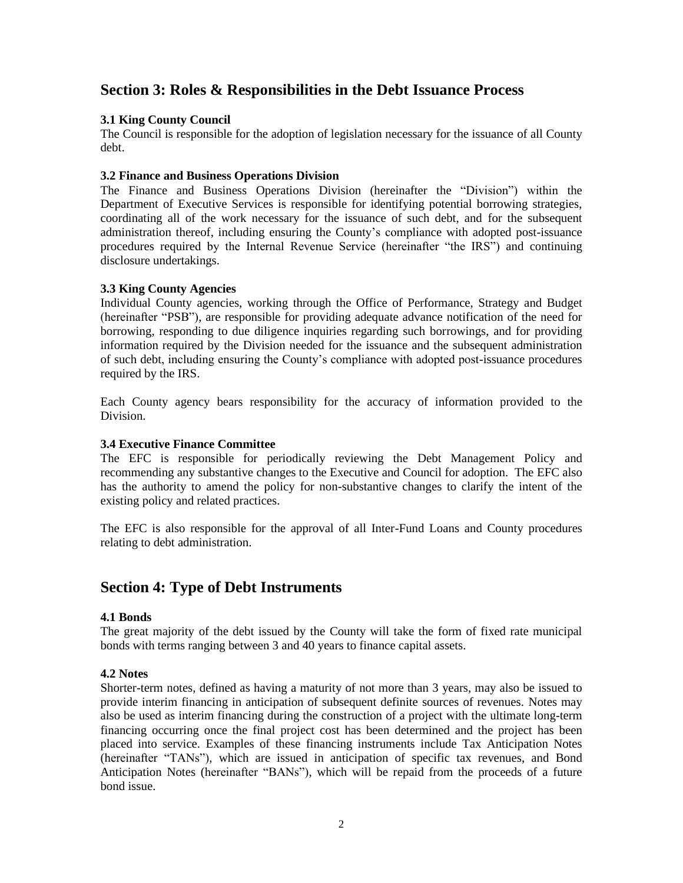## **Section 3: Roles & Responsibilities in the Debt Issuance Process**

### **3.1 King County Council**

The Council is responsible for the adoption of legislation necessary for the issuance of all County debt.

### **3.2 Finance and Business Operations Division**

The Finance and Business Operations Division (hereinafter the "Division") within the Department of Executive Services is responsible for identifying potential borrowing strategies, coordinating all of the work necessary for the issuance of such debt, and for the subsequent administration thereof, including ensuring the County's compliance with adopted post-issuance procedures required by the Internal Revenue Service (hereinafter "the IRS") and continuing disclosure undertakings.

#### **3.3 King County Agencies**

Individual County agencies, working through the Office of Performance, Strategy and Budget (hereinafter "PSB"), are responsible for providing adequate advance notification of the need for borrowing, responding to due diligence inquiries regarding such borrowings, and for providing information required by the Division needed for the issuance and the subsequent administration of such debt, including ensuring the County's compliance with adopted post-issuance procedures required by the IRS.

Each County agency bears responsibility for the accuracy of information provided to the Division.

#### **3.4 Executive Finance Committee**

The EFC is responsible for periodically reviewing the Debt Management Policy and recommending any substantive changes to the Executive and Council for adoption. The EFC also has the authority to amend the policy for non-substantive changes to clarify the intent of the existing policy and related practices.

The EFC is also responsible for the approval of all Inter-Fund Loans and County procedures relating to debt administration.

## **Section 4: Type of Debt Instruments**

### **4.1 Bonds**

The great majority of the debt issued by the County will take the form of fixed rate municipal bonds with terms ranging between 3 and 40 years to finance capital assets.

#### **4.2 Notes**

Shorter-term notes, defined as having a maturity of not more than 3 years, may also be issued to provide interim financing in anticipation of subsequent definite sources of revenues. Notes may also be used as interim financing during the construction of a project with the ultimate long-term financing occurring once the final project cost has been determined and the project has been placed into service. Examples of these financing instruments include Tax Anticipation Notes (hereinafter "TANs"), which are issued in anticipation of specific tax revenues, and Bond Anticipation Notes (hereinafter "BANs"), which will be repaid from the proceeds of a future bond issue.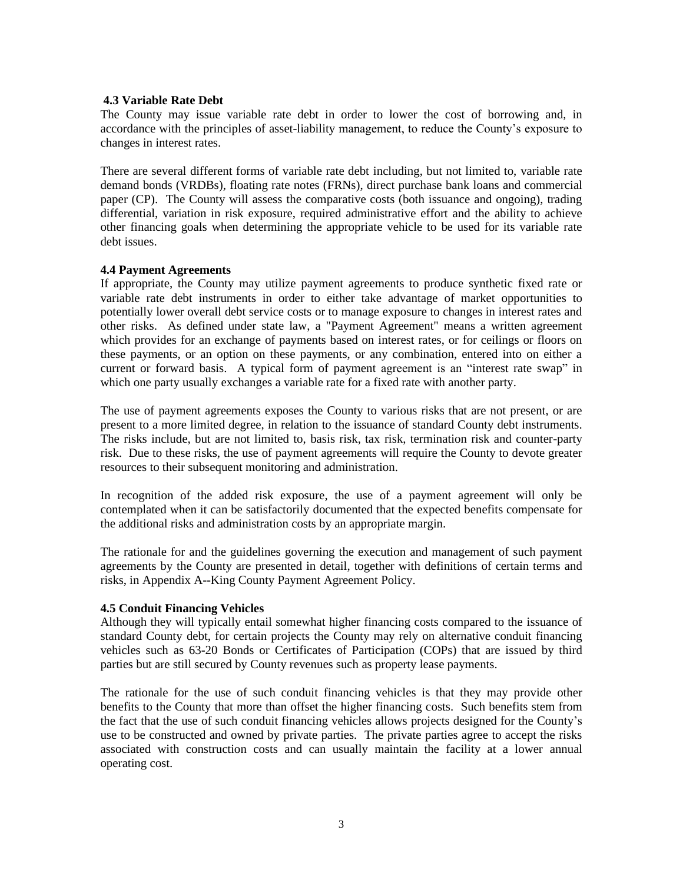#### **4.3 Variable Rate Debt**

The County may issue variable rate debt in order to lower the cost of borrowing and, in accordance with the principles of asset-liability management, to reduce the County's exposure to changes in interest rates.

There are several different forms of variable rate debt including, but not limited to, variable rate demand bonds (VRDBs), floating rate notes (FRNs), direct purchase bank loans and commercial paper (CP). The County will assess the comparative costs (both issuance and ongoing), trading differential, variation in risk exposure, required administrative effort and the ability to achieve other financing goals when determining the appropriate vehicle to be used for its variable rate debt issues.

#### **4.4 Payment Agreements**

If appropriate, the County may utilize payment agreements to produce synthetic fixed rate or variable rate debt instruments in order to either take advantage of market opportunities to potentially lower overall debt service costs or to manage exposure to changes in interest rates and other risks. As defined under state law, a "Payment Agreement" means a written agreement which provides for an exchange of payments based on interest rates, or for ceilings or floors on these payments, or an option on these payments, or any combination, entered into on either a current or forward basis. A typical form of payment agreement is an "interest rate swap" in which one party usually exchanges a variable rate for a fixed rate with another party.

The use of payment agreements exposes the County to various risks that are not present, or are present to a more limited degree, in relation to the issuance of standard County debt instruments. The risks include, but are not limited to, basis risk, tax risk, termination risk and counter-party risk. Due to these risks, the use of payment agreements will require the County to devote greater resources to their subsequent monitoring and administration.

In recognition of the added risk exposure, the use of a payment agreement will only be contemplated when it can be satisfactorily documented that the expected benefits compensate for the additional risks and administration costs by an appropriate margin.

The rationale for and the guidelines governing the execution and management of such payment agreements by the County are presented in detail, together with definitions of certain terms and risks, in Appendix A--King County Payment Agreement Policy.

### **4.5 Conduit Financing Vehicles**

Although they will typically entail somewhat higher financing costs compared to the issuance of standard County debt, for certain projects the County may rely on alternative conduit financing vehicles such as 63-20 Bonds or Certificates of Participation (COPs) that are issued by third parties but are still secured by County revenues such as property lease payments.

The rationale for the use of such conduit financing vehicles is that they may provide other benefits to the County that more than offset the higher financing costs. Such benefits stem from the fact that the use of such conduit financing vehicles allows projects designed for the County's use to be constructed and owned by private parties. The private parties agree to accept the risks associated with construction costs and can usually maintain the facility at a lower annual operating cost.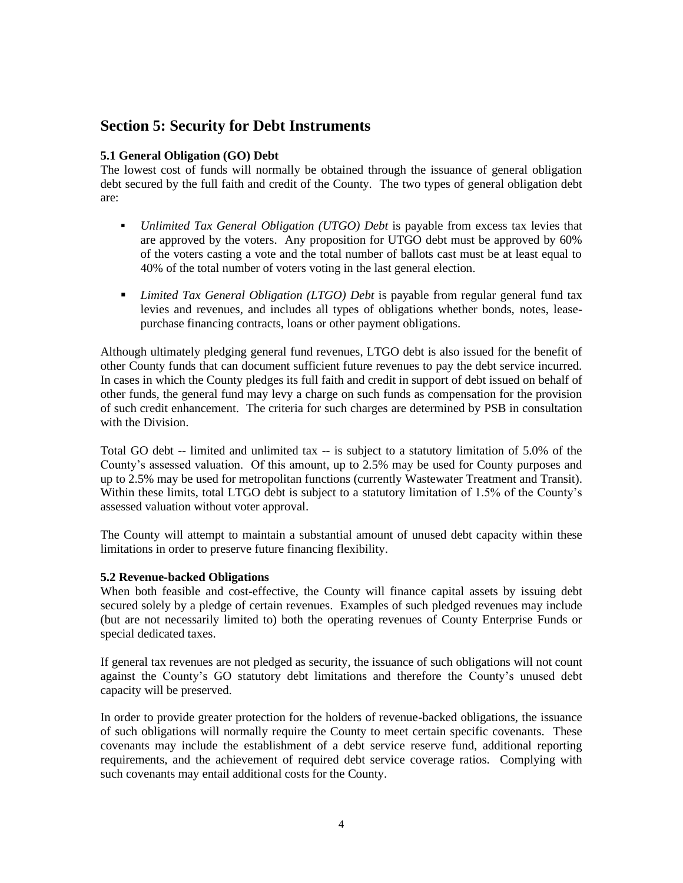## **Section 5: Security for Debt Instruments**

## **5.1 General Obligation (GO) Debt**

The lowest cost of funds will normally be obtained through the issuance of general obligation debt secured by the full faith and credit of the County. The two types of general obligation debt are:

- *Unlimited Tax General Obligation (UTGO) Debt* is payable from excess tax levies that are approved by the voters. Any proposition for UTGO debt must be approved by 60% of the voters casting a vote and the total number of ballots cast must be at least equal to 40% of the total number of voters voting in the last general election.
- *Limited Tax General Obligation (LTGO) Debt* is payable from regular general fund tax levies and revenues, and includes all types of obligations whether bonds, notes, leasepurchase financing contracts, loans or other payment obligations.

Although ultimately pledging general fund revenues, LTGO debt is also issued for the benefit of other County funds that can document sufficient future revenues to pay the debt service incurred. In cases in which the County pledges its full faith and credit in support of debt issued on behalf of other funds, the general fund may levy a charge on such funds as compensation for the provision of such credit enhancement. The criteria for such charges are determined by PSB in consultation with the Division.

Total GO debt -- limited and unlimited tax -- is subject to a statutory limitation of 5.0% of the County's assessed valuation. Of this amount, up to 2.5% may be used for County purposes and up to 2.5% may be used for metropolitan functions (currently Wastewater Treatment and Transit). Within these limits, total LTGO debt is subject to a statutory limitation of 1.5% of the County's assessed valuation without voter approval.

The County will attempt to maintain a substantial amount of unused debt capacity within these limitations in order to preserve future financing flexibility.

### **5.2 Revenue-backed Obligations**

When both feasible and cost-effective, the County will finance capital assets by issuing debt secured solely by a pledge of certain revenues. Examples of such pledged revenues may include (but are not necessarily limited to) both the operating revenues of County Enterprise Funds or special dedicated taxes.

If general tax revenues are not pledged as security, the issuance of such obligations will not count against the County's GO statutory debt limitations and therefore the County's unused debt capacity will be preserved.

In order to provide greater protection for the holders of revenue-backed obligations, the issuance of such obligations will normally require the County to meet certain specific covenants. These covenants may include the establishment of a debt service reserve fund, additional reporting requirements, and the achievement of required debt service coverage ratios. Complying with such covenants may entail additional costs for the County.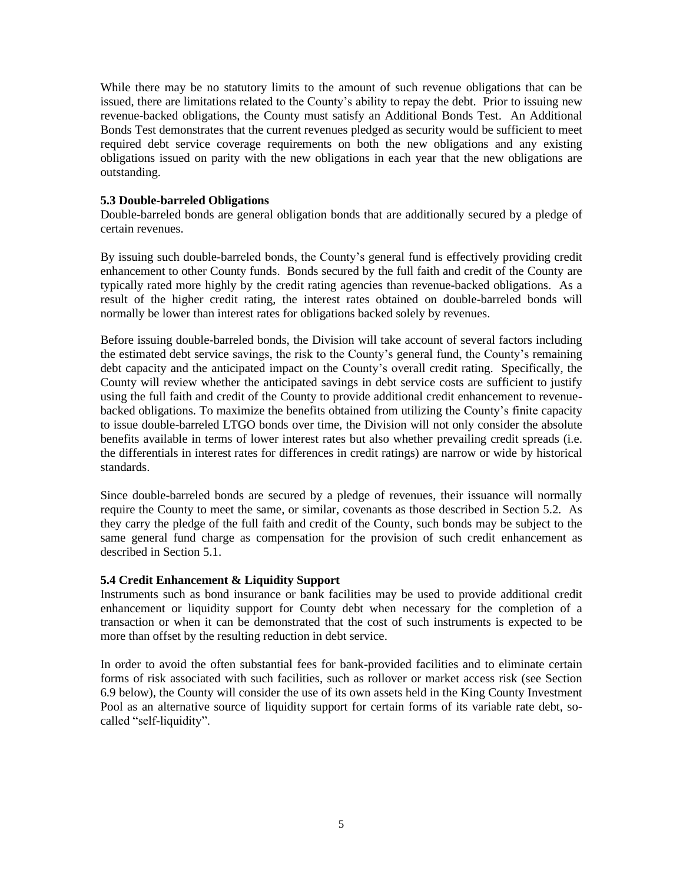While there may be no statutory limits to the amount of such revenue obligations that can be issued, there are limitations related to the County's ability to repay the debt. Prior to issuing new revenue-backed obligations, the County must satisfy an Additional Bonds Test. An Additional Bonds Test demonstrates that the current revenues pledged as security would be sufficient to meet required debt service coverage requirements on both the new obligations and any existing obligations issued on parity with the new obligations in each year that the new obligations are outstanding.

#### **5.3 Double-barreled Obligations**

Double-barreled bonds are general obligation bonds that are additionally secured by a pledge of certain revenues.

By issuing such double-barreled bonds, the County's general fund is effectively providing credit enhancement to other County funds. Bonds secured by the full faith and credit of the County are typically rated more highly by the credit rating agencies than revenue-backed obligations. As a result of the higher credit rating, the interest rates obtained on double-barreled bonds will normally be lower than interest rates for obligations backed solely by revenues.

Before issuing double-barreled bonds, the Division will take account of several factors including the estimated debt service savings, the risk to the County's general fund, the County's remaining debt capacity and the anticipated impact on the County's overall credit rating. Specifically, the County will review whether the anticipated savings in debt service costs are sufficient to justify using the full faith and credit of the County to provide additional credit enhancement to revenuebacked obligations. To maximize the benefits obtained from utilizing the County's finite capacity to issue double-barreled LTGO bonds over time, the Division will not only consider the absolute benefits available in terms of lower interest rates but also whether prevailing credit spreads (i.e. the differentials in interest rates for differences in credit ratings) are narrow or wide by historical standards.

Since double-barreled bonds are secured by a pledge of revenues, their issuance will normally require the County to meet the same, or similar, covenants as those described in Section 5.2. As they carry the pledge of the full faith and credit of the County, such bonds may be subject to the same general fund charge as compensation for the provision of such credit enhancement as described in Section 5.1.

### **5.4 Credit Enhancement & Liquidity Support**

Instruments such as bond insurance or bank facilities may be used to provide additional credit enhancement or liquidity support for County debt when necessary for the completion of a transaction or when it can be demonstrated that the cost of such instruments is expected to be more than offset by the resulting reduction in debt service.

In order to avoid the often substantial fees for bank-provided facilities and to eliminate certain forms of risk associated with such facilities, such as rollover or market access risk (see Section 6.9 below), the County will consider the use of its own assets held in the King County Investment Pool as an alternative source of liquidity support for certain forms of its variable rate debt, socalled "self-liquidity".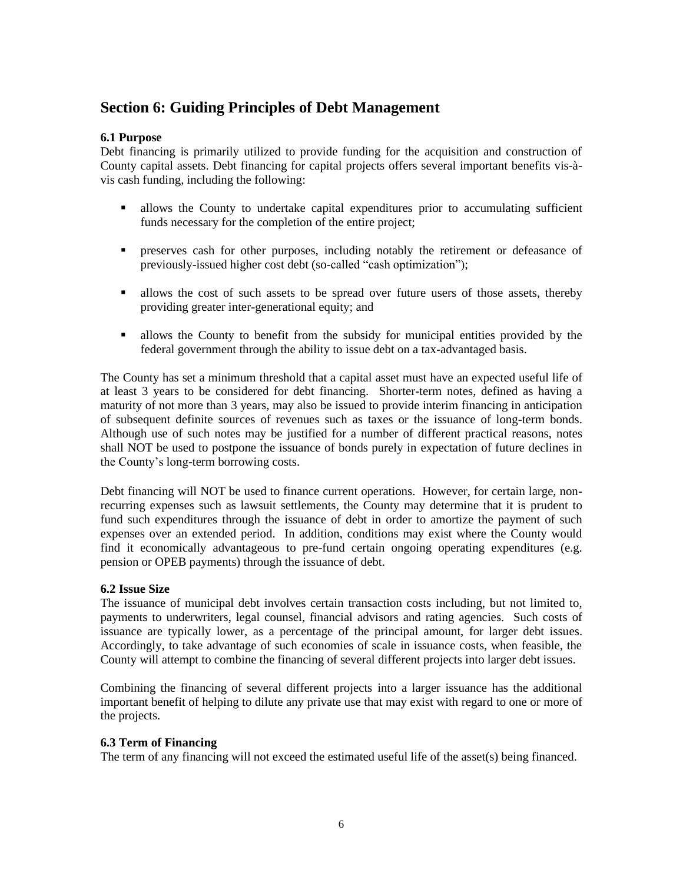## **Section 6: Guiding Principles of Debt Management**

## **6.1 Purpose**

Debt financing is primarily utilized to provide funding for the acquisition and construction of County capital assets. Debt financing for capital projects offers several important benefits vis-àvis cash funding, including the following:

- **Exercise 1** allows the County to undertake capital expenditures prior to accumulating sufficient funds necessary for the completion of the entire project;
- **•** preserves cash for other purposes, including notably the retirement or defeasance of previously-issued higher cost debt (so-called "cash optimization");
- In allows the cost of such assets to be spread over future users of those assets, thereby providing greater inter-generational equity; and
- **Example 1** allows the County to benefit from the subsidy for municipal entities provided by the federal government through the ability to issue debt on a tax-advantaged basis.

The County has set a minimum threshold that a capital asset must have an expected useful life of at least 3 years to be considered for debt financing. Shorter-term notes, defined as having a maturity of not more than 3 years, may also be issued to provide interim financing in anticipation of subsequent definite sources of revenues such as taxes or the issuance of long-term bonds. Although use of such notes may be justified for a number of different practical reasons, notes shall NOT be used to postpone the issuance of bonds purely in expectation of future declines in the County's long-term borrowing costs.

Debt financing will NOT be used to finance current operations. However, for certain large, nonrecurring expenses such as lawsuit settlements, the County may determine that it is prudent to fund such expenditures through the issuance of debt in order to amortize the payment of such expenses over an extended period. In addition, conditions may exist where the County would find it economically advantageous to pre-fund certain ongoing operating expenditures (e.g. pension or OPEB payments) through the issuance of debt.

### **6.2 Issue Size**

The issuance of municipal debt involves certain transaction costs including, but not limited to, payments to underwriters, legal counsel, financial advisors and rating agencies. Such costs of issuance are typically lower, as a percentage of the principal amount, for larger debt issues. Accordingly, to take advantage of such economies of scale in issuance costs, when feasible, the County will attempt to combine the financing of several different projects into larger debt issues.

Combining the financing of several different projects into a larger issuance has the additional important benefit of helping to dilute any private use that may exist with regard to one or more of the projects.

### **6.3 Term of Financing**

The term of any financing will not exceed the estimated useful life of the asset(s) being financed.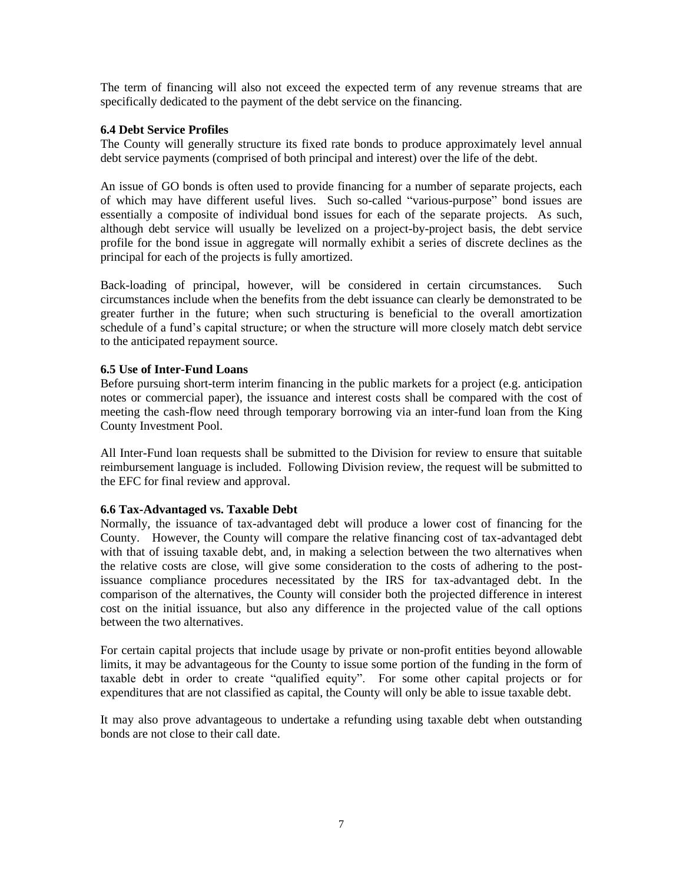The term of financing will also not exceed the expected term of any revenue streams that are specifically dedicated to the payment of the debt service on the financing.

#### **6.4 Debt Service Profiles**

The County will generally structure its fixed rate bonds to produce approximately level annual debt service payments (comprised of both principal and interest) over the life of the debt.

An issue of GO bonds is often used to provide financing for a number of separate projects, each of which may have different useful lives. Such so-called "various-purpose" bond issues are essentially a composite of individual bond issues for each of the separate projects. As such, although debt service will usually be levelized on a project-by-project basis, the debt service profile for the bond issue in aggregate will normally exhibit a series of discrete declines as the principal for each of the projects is fully amortized.

Back-loading of principal, however, will be considered in certain circumstances. Such circumstances include when the benefits from the debt issuance can clearly be demonstrated to be greater further in the future; when such structuring is beneficial to the overall amortization schedule of a fund's capital structure; or when the structure will more closely match debt service to the anticipated repayment source.

#### **6.5 Use of Inter-Fund Loans**

Before pursuing short-term interim financing in the public markets for a project (e.g. anticipation notes or commercial paper), the issuance and interest costs shall be compared with the cost of meeting the cash-flow need through temporary borrowing via an inter-fund loan from the King County Investment Pool.

All Inter-Fund loan requests shall be submitted to the Division for review to ensure that suitable reimbursement language is included. Following Division review, the request will be submitted to the EFC for final review and approval.

### **6.6 Tax-Advantaged vs. Taxable Debt**

Normally, the issuance of tax-advantaged debt will produce a lower cost of financing for the County. However, the County will compare the relative financing cost of tax-advantaged debt with that of issuing taxable debt, and, in making a selection between the two alternatives when the relative costs are close, will give some consideration to the costs of adhering to the postissuance compliance procedures necessitated by the IRS for tax-advantaged debt. In the comparison of the alternatives, the County will consider both the projected difference in interest cost on the initial issuance, but also any difference in the projected value of the call options between the two alternatives.

For certain capital projects that include usage by private or non-profit entities beyond allowable limits, it may be advantageous for the County to issue some portion of the funding in the form of taxable debt in order to create "qualified equity". For some other capital projects or for expenditures that are not classified as capital, the County will only be able to issue taxable debt.

It may also prove advantageous to undertake a refunding using taxable debt when outstanding bonds are not close to their call date.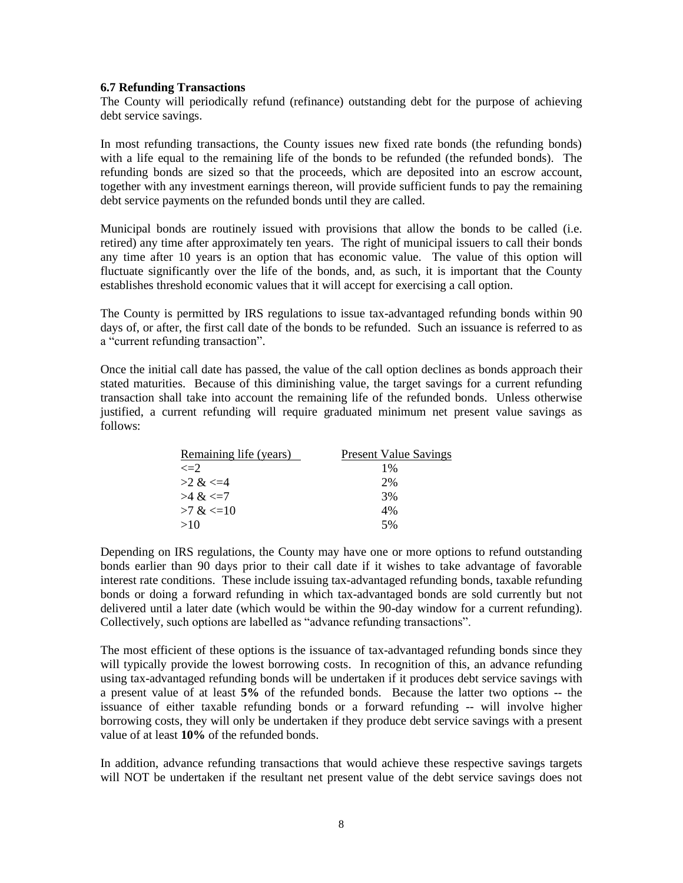#### **6.7 Refunding Transactions**

The County will periodically refund (refinance) outstanding debt for the purpose of achieving debt service savings.

In most refunding transactions, the County issues new fixed rate bonds (the refunding bonds) with a life equal to the remaining life of the bonds to be refunded (the refunded bonds). The refunding bonds are sized so that the proceeds, which are deposited into an escrow account, together with any investment earnings thereon, will provide sufficient funds to pay the remaining debt service payments on the refunded bonds until they are called.

Municipal bonds are routinely issued with provisions that allow the bonds to be called (i.e. retired) any time after approximately ten years. The right of municipal issuers to call their bonds any time after 10 years is an option that has economic value. The value of this option will fluctuate significantly over the life of the bonds, and, as such, it is important that the County establishes threshold economic values that it will accept for exercising a call option.

The County is permitted by IRS regulations to issue tax-advantaged refunding bonds within 90 days of, or after, the first call date of the bonds to be refunded. Such an issuance is referred to as a "current refunding transaction".

Once the initial call date has passed, the value of the call option declines as bonds approach their stated maturities. Because of this diminishing value, the target savings for a current refunding transaction shall take into account the remaining life of the refunded bonds. Unless otherwise justified, a current refunding will require graduated minimum net present value savings as follows:

| Remaining life (years) | <b>Present Value Savings</b> |
|------------------------|------------------------------|
| $\leq=2$               | $1\%$                        |
| $>2 \<=4$              | 2%                           |
| $>4$ & $\leq$ 7        | 3%                           |
| $>7 \<=10$             | 4%                           |
| >10                    | 5%                           |

Depending on IRS regulations, the County may have one or more options to refund outstanding bonds earlier than 90 days prior to their call date if it wishes to take advantage of favorable interest rate conditions. These include issuing tax-advantaged refunding bonds, taxable refunding bonds or doing a forward refunding in which tax-advantaged bonds are sold currently but not delivered until a later date (which would be within the 90-day window for a current refunding). Collectively, such options are labelled as "advance refunding transactions".

The most efficient of these options is the issuance of tax-advantaged refunding bonds since they will typically provide the lowest borrowing costs. In recognition of this, an advance refunding using tax-advantaged refunding bonds will be undertaken if it produces debt service savings with a present value of at least **5%** of the refunded bonds. Because the latter two options -- the issuance of either taxable refunding bonds or a forward refunding -- will involve higher borrowing costs, they will only be undertaken if they produce debt service savings with a present value of at least **10%** of the refunded bonds.

In addition, advance refunding transactions that would achieve these respective savings targets will NOT be undertaken if the resultant net present value of the debt service savings does not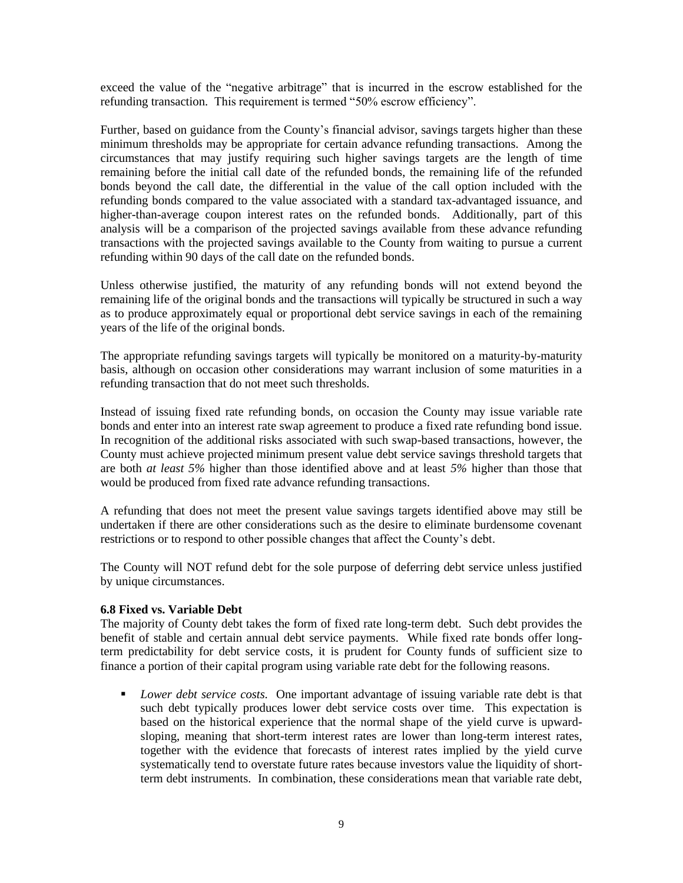exceed the value of the "negative arbitrage" that is incurred in the escrow established for the refunding transaction. This requirement is termed "50% escrow efficiency".

Further, based on guidance from the County's financial advisor, savings targets higher than these minimum thresholds may be appropriate for certain advance refunding transactions. Among the circumstances that may justify requiring such higher savings targets are the length of time remaining before the initial call date of the refunded bonds, the remaining life of the refunded bonds beyond the call date, the differential in the value of the call option included with the refunding bonds compared to the value associated with a standard tax-advantaged issuance, and higher-than-average coupon interest rates on the refunded bonds. Additionally, part of this analysis will be a comparison of the projected savings available from these advance refunding transactions with the projected savings available to the County from waiting to pursue a current refunding within 90 days of the call date on the refunded bonds.

Unless otherwise justified, the maturity of any refunding bonds will not extend beyond the remaining life of the original bonds and the transactions will typically be structured in such a way as to produce approximately equal or proportional debt service savings in each of the remaining years of the life of the original bonds.

The appropriate refunding savings targets will typically be monitored on a maturity-by-maturity basis, although on occasion other considerations may warrant inclusion of some maturities in a refunding transaction that do not meet such thresholds.

Instead of issuing fixed rate refunding bonds, on occasion the County may issue variable rate bonds and enter into an interest rate swap agreement to produce a fixed rate refunding bond issue. In recognition of the additional risks associated with such swap-based transactions, however, the County must achieve projected minimum present value debt service savings threshold targets that are both *at least 5%* higher than those identified above and at least *5%* higher than those that would be produced from fixed rate advance refunding transactions.

A refunding that does not meet the present value savings targets identified above may still be undertaken if there are other considerations such as the desire to eliminate burdensome covenant restrictions or to respond to other possible changes that affect the County's debt.

The County will NOT refund debt for the sole purpose of deferring debt service unless justified by unique circumstances.

### **6.8 Fixed vs. Variable Debt**

The majority of County debt takes the form of fixed rate long-term debt. Such debt provides the benefit of stable and certain annual debt service payments. While fixed rate bonds offer longterm predictability for debt service costs, it is prudent for County funds of sufficient size to finance a portion of their capital program using variable rate debt for the following reasons.

■ *Lower debt service costs*. One important advantage of issuing variable rate debt is that such debt typically produces lower debt service costs over time. This expectation is based on the historical experience that the normal shape of the yield curve is upwardsloping, meaning that short-term interest rates are lower than long-term interest rates, together with the evidence that forecasts of interest rates implied by the yield curve systematically tend to overstate future rates because investors value the liquidity of shortterm debt instruments. In combination, these considerations mean that variable rate debt,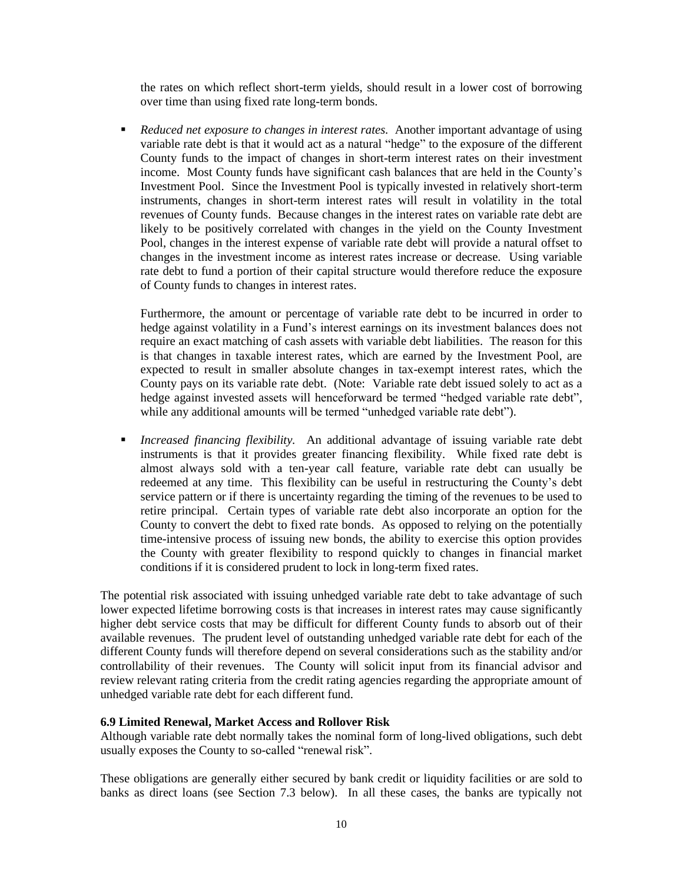the rates on which reflect short-term yields, should result in a lower cost of borrowing over time than using fixed rate long-term bonds.

■ *Reduced net exposure to changes in interest rates.* Another important advantage of using variable rate debt is that it would act as a natural "hedge" to the exposure of the different County funds to the impact of changes in short-term interest rates on their investment income. Most County funds have significant cash balances that are held in the County's Investment Pool. Since the Investment Pool is typically invested in relatively short-term instruments, changes in short-term interest rates will result in volatility in the total revenues of County funds. Because changes in the interest rates on variable rate debt are likely to be positively correlated with changes in the yield on the County Investment Pool, changes in the interest expense of variable rate debt will provide a natural offset to changes in the investment income as interest rates increase or decrease. Using variable rate debt to fund a portion of their capital structure would therefore reduce the exposure of County funds to changes in interest rates.

Furthermore, the amount or percentage of variable rate debt to be incurred in order to hedge against volatility in a Fund's interest earnings on its investment balances does not require an exact matching of cash assets with variable debt liabilities. The reason for this is that changes in taxable interest rates, which are earned by the Investment Pool, are expected to result in smaller absolute changes in tax-exempt interest rates, which the County pays on its variable rate debt. (Note: Variable rate debt issued solely to act as a hedge against invested assets will henceforward be termed "hedged variable rate debt", while any additional amounts will be termed "unhedged variable rate debt").

▪ *Increased financing flexibility.* An additional advantage of issuing variable rate debt instruments is that it provides greater financing flexibility. While fixed rate debt is almost always sold with a ten-year call feature, variable rate debt can usually be redeemed at any time. This flexibility can be useful in restructuring the County's debt service pattern or if there is uncertainty regarding the timing of the revenues to be used to retire principal. Certain types of variable rate debt also incorporate an option for the County to convert the debt to fixed rate bonds. As opposed to relying on the potentially time-intensive process of issuing new bonds, the ability to exercise this option provides the County with greater flexibility to respond quickly to changes in financial market conditions if it is considered prudent to lock in long-term fixed rates.

The potential risk associated with issuing unhedged variable rate debt to take advantage of such lower expected lifetime borrowing costs is that increases in interest rates may cause significantly higher debt service costs that may be difficult for different County funds to absorb out of their available revenues. The prudent level of outstanding unhedged variable rate debt for each of the different County funds will therefore depend on several considerations such as the stability and/or controllability of their revenues. The County will solicit input from its financial advisor and review relevant rating criteria from the credit rating agencies regarding the appropriate amount of unhedged variable rate debt for each different fund.

#### **6.9 Limited Renewal, Market Access and Rollover Risk**

Although variable rate debt normally takes the nominal form of long-lived obligations, such debt usually exposes the County to so-called "renewal risk".

These obligations are generally either secured by bank credit or liquidity facilities or are sold to banks as direct loans (see Section 7.3 below). In all these cases, the banks are typically not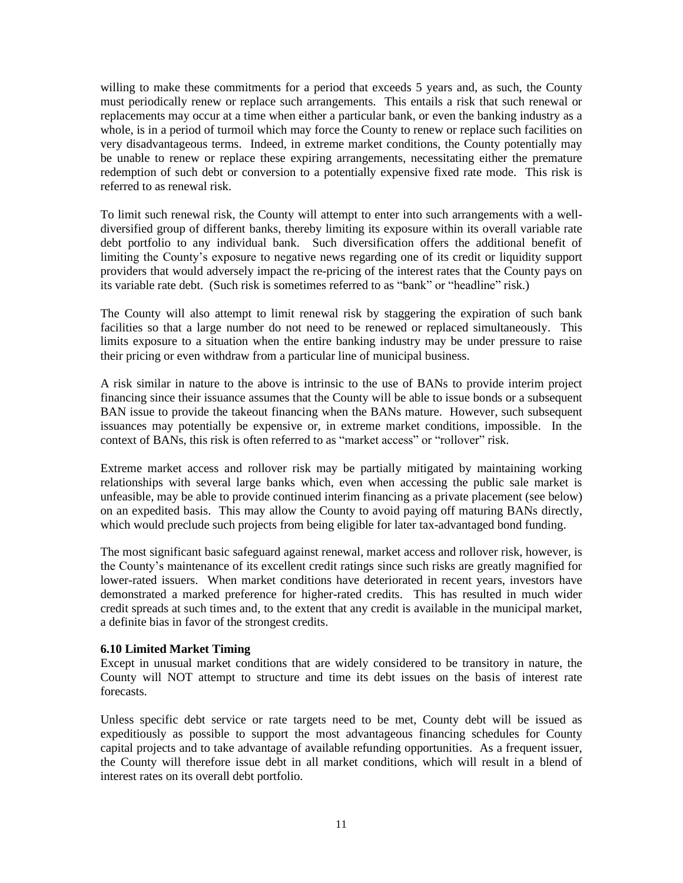willing to make these commitments for a period that exceeds 5 years and, as such, the County must periodically renew or replace such arrangements. This entails a risk that such renewal or replacements may occur at a time when either a particular bank, or even the banking industry as a whole, is in a period of turmoil which may force the County to renew or replace such facilities on very disadvantageous terms. Indeed, in extreme market conditions, the County potentially may be unable to renew or replace these expiring arrangements, necessitating either the premature redemption of such debt or conversion to a potentially expensive fixed rate mode. This risk is referred to as renewal risk.

To limit such renewal risk, the County will attempt to enter into such arrangements with a welldiversified group of different banks, thereby limiting its exposure within its overall variable rate debt portfolio to any individual bank. Such diversification offers the additional benefit of limiting the County's exposure to negative news regarding one of its credit or liquidity support providers that would adversely impact the re-pricing of the interest rates that the County pays on its variable rate debt. (Such risk is sometimes referred to as "bank" or "headline" risk.)

The County will also attempt to limit renewal risk by staggering the expiration of such bank facilities so that a large number do not need to be renewed or replaced simultaneously. This limits exposure to a situation when the entire banking industry may be under pressure to raise their pricing or even withdraw from a particular line of municipal business.

A risk similar in nature to the above is intrinsic to the use of BANs to provide interim project financing since their issuance assumes that the County will be able to issue bonds or a subsequent BAN issue to provide the takeout financing when the BANs mature. However, such subsequent issuances may potentially be expensive or, in extreme market conditions, impossible. In the context of BANs, this risk is often referred to as "market access" or "rollover" risk.

Extreme market access and rollover risk may be partially mitigated by maintaining working relationships with several large banks which, even when accessing the public sale market is unfeasible, may be able to provide continued interim financing as a private placement (see below) on an expedited basis. This may allow the County to avoid paying off maturing BANs directly, which would preclude such projects from being eligible for later tax-advantaged bond funding.

The most significant basic safeguard against renewal, market access and rollover risk, however, is the County's maintenance of its excellent credit ratings since such risks are greatly magnified for lower-rated issuers. When market conditions have deteriorated in recent years, investors have demonstrated a marked preference for higher-rated credits. This has resulted in much wider credit spreads at such times and, to the extent that any credit is available in the municipal market, a definite bias in favor of the strongest credits.

### **6.10 Limited Market Timing**

Except in unusual market conditions that are widely considered to be transitory in nature, the County will NOT attempt to structure and time its debt issues on the basis of interest rate forecasts.

Unless specific debt service or rate targets need to be met, County debt will be issued as expeditiously as possible to support the most advantageous financing schedules for County capital projects and to take advantage of available refunding opportunities. As a frequent issuer, the County will therefore issue debt in all market conditions, which will result in a blend of interest rates on its overall debt portfolio.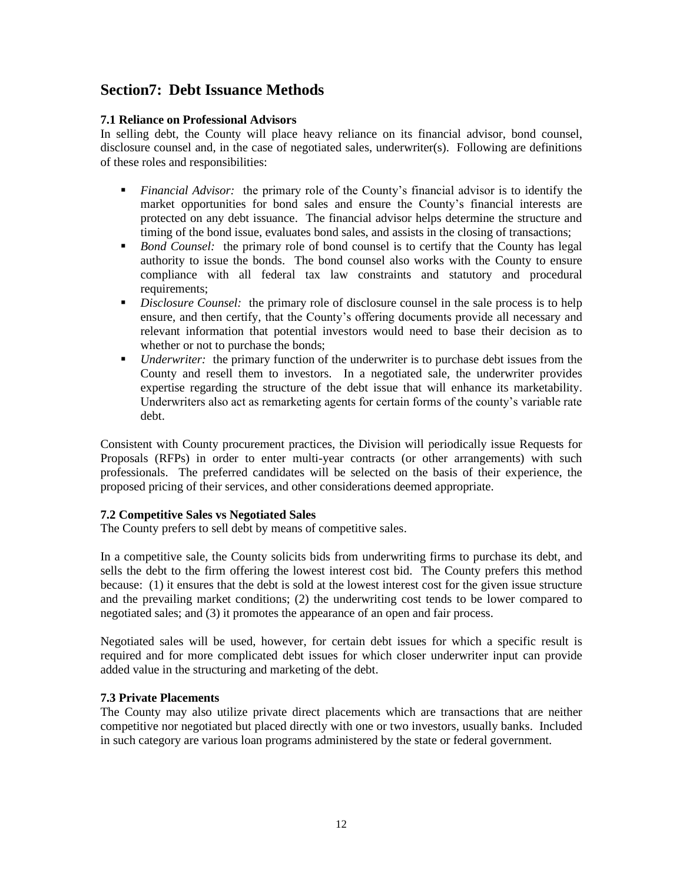## **Section7: Debt Issuance Methods**

## **7.1 Reliance on Professional Advisors**

In selling debt, the County will place heavy reliance on its financial advisor, bond counsel, disclosure counsel and, in the case of negotiated sales, underwriter(s). Following are definitions of these roles and responsibilities:

- *Financial Advisor:* the primary role of the County's financial advisor is to identify the market opportunities for bond sales and ensure the County's financial interests are protected on any debt issuance. The financial advisor helps determine the structure and timing of the bond issue, evaluates bond sales, and assists in the closing of transactions;
- *Bond Counsel:* the primary role of bond counsel is to certify that the County has legal authority to issue the bonds. The bond counsel also works with the County to ensure compliance with all federal tax law constraints and statutory and procedural requirements;
- **•** *Disclosure Counsel:* the primary role of disclosure counsel in the sale process is to help ensure, and then certify, that the County's offering documents provide all necessary and relevant information that potential investors would need to base their decision as to whether or not to purchase the bonds;
- *Underwriter:* the primary function of the underwriter is to purchase debt issues from the County and resell them to investors. In a negotiated sale, the underwriter provides expertise regarding the structure of the debt issue that will enhance its marketability. Underwriters also act as remarketing agents for certain forms of the county's variable rate debt.

Consistent with County procurement practices, the Division will periodically issue Requests for Proposals (RFPs) in order to enter multi-year contracts (or other arrangements) with such professionals. The preferred candidates will be selected on the basis of their experience, the proposed pricing of their services, and other considerations deemed appropriate.

### **7.2 Competitive Sales vs Negotiated Sales**

The County prefers to sell debt by means of competitive sales.

In a competitive sale, the County solicits bids from underwriting firms to purchase its debt, and sells the debt to the firm offering the lowest interest cost bid. The County prefers this method because: (1) it ensures that the debt is sold at the lowest interest cost for the given issue structure and the prevailing market conditions; (2) the underwriting cost tends to be lower compared to negotiated sales; and (3) it promotes the appearance of an open and fair process.

Negotiated sales will be used, however, for certain debt issues for which a specific result is required and for more complicated debt issues for which closer underwriter input can provide added value in the structuring and marketing of the debt.

### **7.3 Private Placements**

The County may also utilize private direct placements which are transactions that are neither competitive nor negotiated but placed directly with one or two investors, usually banks. Included in such category are various loan programs administered by the state or federal government.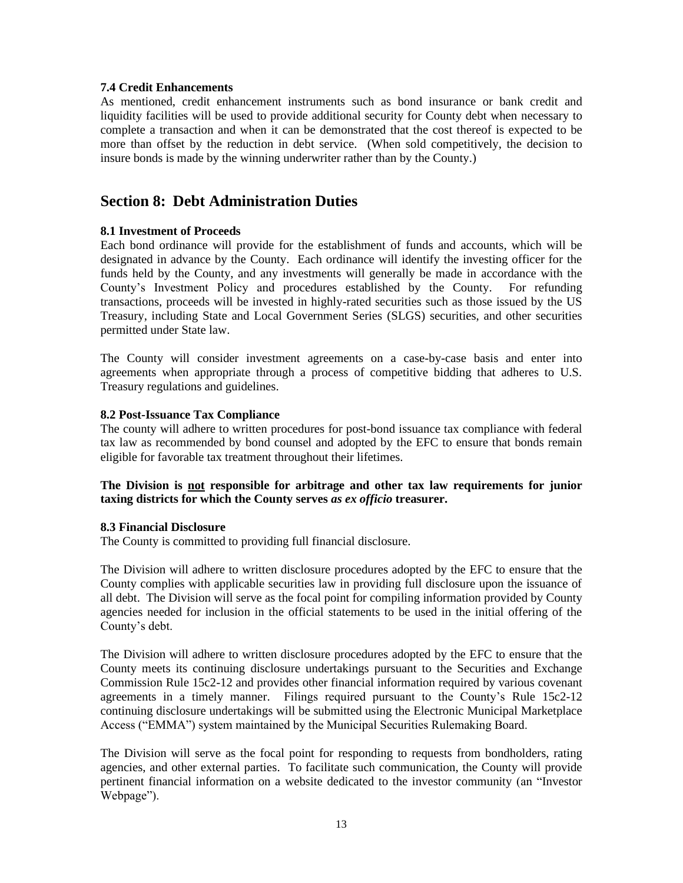#### **7.4 Credit Enhancements**

As mentioned, credit enhancement instruments such as bond insurance or bank credit and liquidity facilities will be used to provide additional security for County debt when necessary to complete a transaction and when it can be demonstrated that the cost thereof is expected to be more than offset by the reduction in debt service. (When sold competitively, the decision to insure bonds is made by the winning underwriter rather than by the County.)

## **Section 8: Debt Administration Duties**

### **8.1 Investment of Proceeds**

Each bond ordinance will provide for the establishment of funds and accounts, which will be designated in advance by the County. Each ordinance will identify the investing officer for the funds held by the County, and any investments will generally be made in accordance with the County's Investment Policy and procedures established by the County. For refunding transactions, proceeds will be invested in highly-rated securities such as those issued by the US Treasury, including State and Local Government Series (SLGS) securities, and other securities permitted under State law.

The County will consider investment agreements on a case-by-case basis and enter into agreements when appropriate through a process of competitive bidding that adheres to U.S. Treasury regulations and guidelines.

#### **8.2 Post-Issuance Tax Compliance**

The county will adhere to written procedures for post-bond issuance tax compliance with federal tax law as recommended by bond counsel and adopted by the EFC to ensure that bonds remain eligible for favorable tax treatment throughout their lifetimes.

### **The Division is not responsible for arbitrage and other tax law requirements for junior taxing districts for which the County serves** *as ex officio* **treasurer.**

#### **8.3 Financial Disclosure**

The County is committed to providing full financial disclosure.

The Division will adhere to written disclosure procedures adopted by the EFC to ensure that the County complies with applicable securities law in providing full disclosure upon the issuance of all debt. The Division will serve as the focal point for compiling information provided by County agencies needed for inclusion in the official statements to be used in the initial offering of the County's debt.

The Division will adhere to written disclosure procedures adopted by the EFC to ensure that the County meets its continuing disclosure undertakings pursuant to the Securities and Exchange Commission Rule 15c2-12 and provides other financial information required by various covenant agreements in a timely manner. Filings required pursuant to the County's Rule 15c2-12 continuing disclosure undertakings will be submitted using the Electronic Municipal Marketplace Access ("EMMA") system maintained by the Municipal Securities Rulemaking Board.

The Division will serve as the focal point for responding to requests from bondholders, rating agencies, and other external parties. To facilitate such communication, the County will provide pertinent financial information on a website dedicated to the investor community (an "Investor Webpage").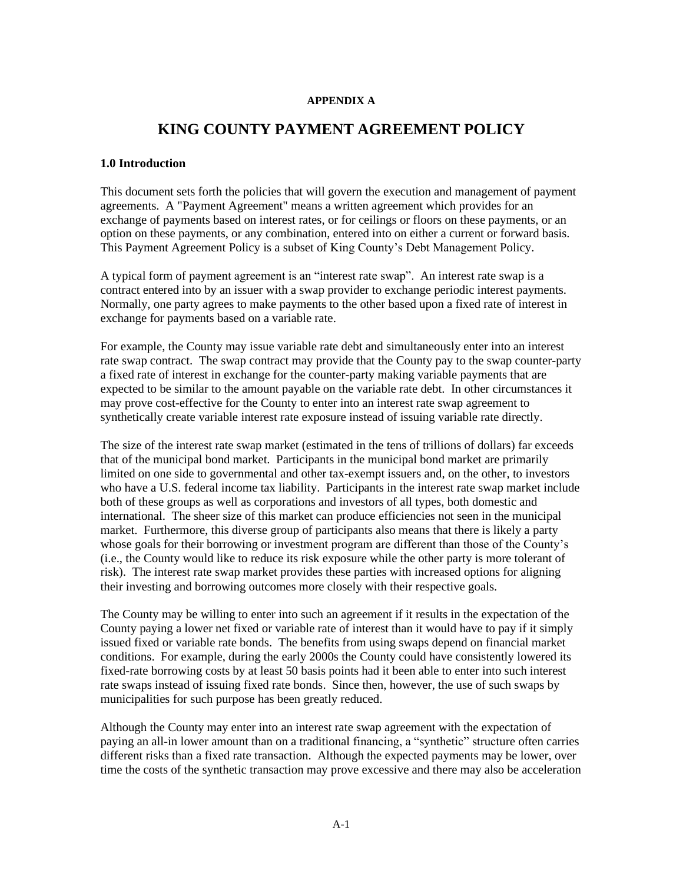#### **APPENDIX A**

## **KING COUNTY PAYMENT AGREEMENT POLICY**

#### **1.0 Introduction**

This document sets forth the policies that will govern the execution and management of payment agreements. A "Payment Agreement" means a written agreement which provides for an exchange of payments based on interest rates, or for ceilings or floors on these payments, or an option on these payments, or any combination, entered into on either a current or forward basis. This Payment Agreement Policy is a subset of King County's Debt Management Policy.

A typical form of payment agreement is an "interest rate swap". An interest rate swap is a contract entered into by an issuer with a swap provider to exchange periodic interest payments. Normally, one party agrees to make payments to the other based upon a fixed rate of interest in exchange for payments based on a variable rate.

For example, the County may issue variable rate debt and simultaneously enter into an interest rate swap contract. The swap contract may provide that the County pay to the swap counter-party a fixed rate of interest in exchange for the counter-party making variable payments that are expected to be similar to the amount payable on the variable rate debt. In other circumstances it may prove cost-effective for the County to enter into an interest rate swap agreement to synthetically create variable interest rate exposure instead of issuing variable rate directly.

The size of the interest rate swap market (estimated in the tens of trillions of dollars) far exceeds that of the municipal bond market. Participants in the municipal bond market are primarily limited on one side to governmental and other tax-exempt issuers and, on the other, to investors who have a U.S. federal income tax liability. Participants in the interest rate swap market include both of these groups as well as corporations and investors of all types, both domestic and international. The sheer size of this market can produce efficiencies not seen in the municipal market. Furthermore, this diverse group of participants also means that there is likely a party whose goals for their borrowing or investment program are different than those of the County's (i.e., the County would like to reduce its risk exposure while the other party is more tolerant of risk). The interest rate swap market provides these parties with increased options for aligning their investing and borrowing outcomes more closely with their respective goals.

The County may be willing to enter into such an agreement if it results in the expectation of the County paying a lower net fixed or variable rate of interest than it would have to pay if it simply issued fixed or variable rate bonds. The benefits from using swaps depend on financial market conditions. For example, during the early 2000s the County could have consistently lowered its fixed-rate borrowing costs by at least 50 basis points had it been able to enter into such interest rate swaps instead of issuing fixed rate bonds. Since then, however, the use of such swaps by municipalities for such purpose has been greatly reduced.

Although the County may enter into an interest rate swap agreement with the expectation of paying an all-in lower amount than on a traditional financing, a "synthetic" structure often carries different risks than a fixed rate transaction. Although the expected payments may be lower, over time the costs of the synthetic transaction may prove excessive and there may also be acceleration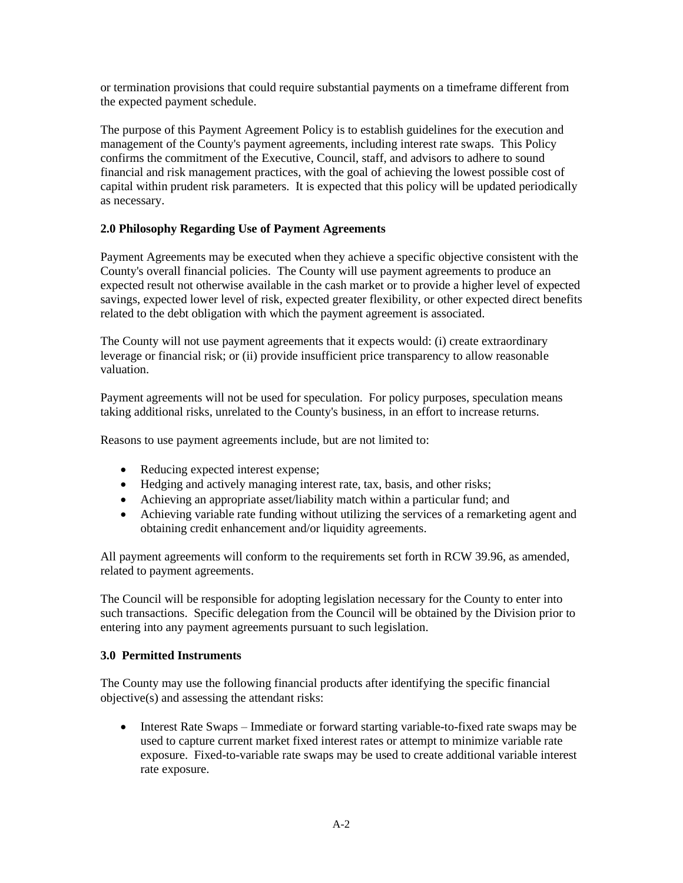or termination provisions that could require substantial payments on a timeframe different from the expected payment schedule.

The purpose of this Payment Agreement Policy is to establish guidelines for the execution and management of the County's payment agreements, including interest rate swaps. This Policy confirms the commitment of the Executive, Council, staff, and advisors to adhere to sound financial and risk management practices, with the goal of achieving the lowest possible cost of capital within prudent risk parameters. It is expected that this policy will be updated periodically as necessary.

## **2.0 Philosophy Regarding Use of Payment Agreements**

Payment Agreements may be executed when they achieve a specific objective consistent with the County's overall financial policies. The County will use payment agreements to produce an expected result not otherwise available in the cash market or to provide a higher level of expected savings, expected lower level of risk, expected greater flexibility, or other expected direct benefits related to the debt obligation with which the payment agreement is associated.

The County will not use payment agreements that it expects would: (i) create extraordinary leverage or financial risk; or (ii) provide insufficient price transparency to allow reasonable valuation.

Payment agreements will not be used for speculation. For policy purposes, speculation means taking additional risks, unrelated to the County's business, in an effort to increase returns.

Reasons to use payment agreements include, but are not limited to:

- Reducing expected interest expense;
- Hedging and actively managing interest rate, tax, basis, and other risks;
- Achieving an appropriate asset/liability match within a particular fund; and
- Achieving variable rate funding without utilizing the services of a remarketing agent and obtaining credit enhancement and/or liquidity agreements.

All payment agreements will conform to the requirements set forth in RCW 39.96, as amended, related to payment agreements.

The Council will be responsible for adopting legislation necessary for the County to enter into such transactions. Specific delegation from the Council will be obtained by the Division prior to entering into any payment agreements pursuant to such legislation.

### **3.0 Permitted Instruments**

The County may use the following financial products after identifying the specific financial objective(s) and assessing the attendant risks:

• Interest Rate Swaps – Immediate or forward starting variable-to-fixed rate swaps may be used to capture current market fixed interest rates or attempt to minimize variable rate exposure. Fixed-to-variable rate swaps may be used to create additional variable interest rate exposure.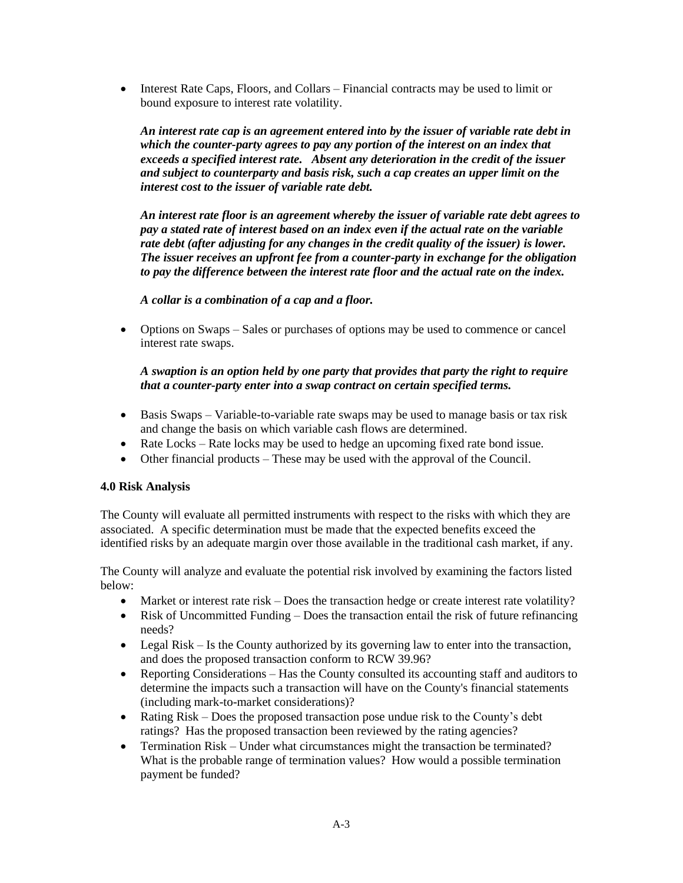• Interest Rate Caps, Floors, and Collars – Financial contracts may be used to limit or bound exposure to interest rate volatility.

*An interest rate cap is an agreement entered into by the issuer of variable rate debt in which the counter-party agrees to pay any portion of the interest on an index that exceeds a specified interest rate. Absent any deterioration in the credit of the issuer and subject to counterparty and basis risk, such a cap creates an upper limit on the interest cost to the issuer of variable rate debt.*

*An interest rate floor is an agreement whereby the issuer of variable rate debt agrees to pay a stated rate of interest based on an index even if the actual rate on the variable rate debt (after adjusting for any changes in the credit quality of the issuer) is lower. The issuer receives an upfront fee from a counter-party in exchange for the obligation to pay the difference between the interest rate floor and the actual rate on the index.*

### *A collar is a combination of a cap and a floor.*

• Options on Swaps – Sales or purchases of options may be used to commence or cancel interest rate swaps.

## *A swaption is an option held by one party that provides that party the right to require that a counter-party enter into a swap contract on certain specified terms.*

- Basis Swaps Variable-to-variable rate swaps may be used to manage basis or tax risk and change the basis on which variable cash flows are determined.
- Rate Locks Rate locks may be used to hedge an upcoming fixed rate bond issue.
- Other financial products These may be used with the approval of the Council.

### **4.0 Risk Analysis**

The County will evaluate all permitted instruments with respect to the risks with which they are associated. A specific determination must be made that the expected benefits exceed the identified risks by an adequate margin over those available in the traditional cash market, if any.

The County will analyze and evaluate the potential risk involved by examining the factors listed below:

- Market or interest rate risk Does the transaction hedge or create interest rate volatility?
- Risk of Uncommitted Funding Does the transaction entail the risk of future refinancing needs?
- Legal Risk Is the County authorized by its governing law to enter into the transaction, and does the proposed transaction conform to RCW 39.96?
- Reporting Considerations Has the County consulted its accounting staff and auditors to determine the impacts such a transaction will have on the County's financial statements (including mark-to-market considerations)?
- Rating Risk Does the proposed transaction pose undue risk to the County's debt ratings? Has the proposed transaction been reviewed by the rating agencies?
- Termination Risk Under what circumstances might the transaction be terminated? What is the probable range of termination values? How would a possible termination payment be funded?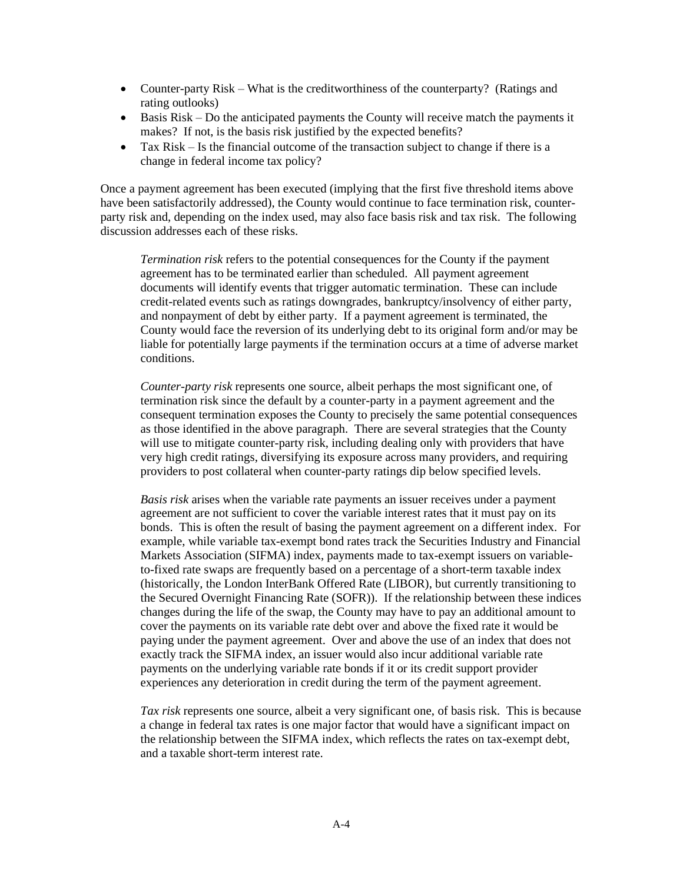- Counter-party Risk What is the creditworthiness of the counterparty? (Ratings and rating outlooks)
- Basis Risk Do the anticipated payments the County will receive match the payments it makes? If not, is the basis risk justified by the expected benefits?
- Tax Risk Is the financial outcome of the transaction subject to change if there is a change in federal income tax policy?

Once a payment agreement has been executed (implying that the first five threshold items above have been satisfactorily addressed), the County would continue to face termination risk, counterparty risk and, depending on the index used, may also face basis risk and tax risk. The following discussion addresses each of these risks.

*Termination risk* refers to the potential consequences for the County if the payment agreement has to be terminated earlier than scheduled. All payment agreement documents will identify events that trigger automatic termination. These can include credit-related events such as ratings downgrades, bankruptcy/insolvency of either party, and nonpayment of debt by either party. If a payment agreement is terminated, the County would face the reversion of its underlying debt to its original form and/or may be liable for potentially large payments if the termination occurs at a time of adverse market conditions.

*Counter-party risk* represents one source, albeit perhaps the most significant one, of termination risk since the default by a counter-party in a payment agreement and the consequent termination exposes the County to precisely the same potential consequences as those identified in the above paragraph. There are several strategies that the County will use to mitigate counter-party risk, including dealing only with providers that have very high credit ratings, diversifying its exposure across many providers, and requiring providers to post collateral when counter-party ratings dip below specified levels.

*Basis risk* arises when the variable rate payments an issuer receives under a payment agreement are not sufficient to cover the variable interest rates that it must pay on its bonds. This is often the result of basing the payment agreement on a different index. For example, while variable tax-exempt bond rates track the Securities Industry and Financial Markets Association (SIFMA) index, payments made to tax-exempt issuers on variableto-fixed rate swaps are frequently based on a percentage of a short-term taxable index (historically, the London InterBank Offered Rate (LIBOR), but currently transitioning to the Secured Overnight Financing Rate (SOFR)). If the relationship between these indices changes during the life of the swap, the County may have to pay an additional amount to cover the payments on its variable rate debt over and above the fixed rate it would be paying under the payment agreement. Over and above the use of an index that does not exactly track the SIFMA index, an issuer would also incur additional variable rate payments on the underlying variable rate bonds if it or its credit support provider experiences any deterioration in credit during the term of the payment agreement.

*Tax risk* represents one source, albeit a very significant one, of basis risk. This is because a change in federal tax rates is one major factor that would have a significant impact on the relationship between the SIFMA index, which reflects the rates on tax-exempt debt, and a taxable short-term interest rate.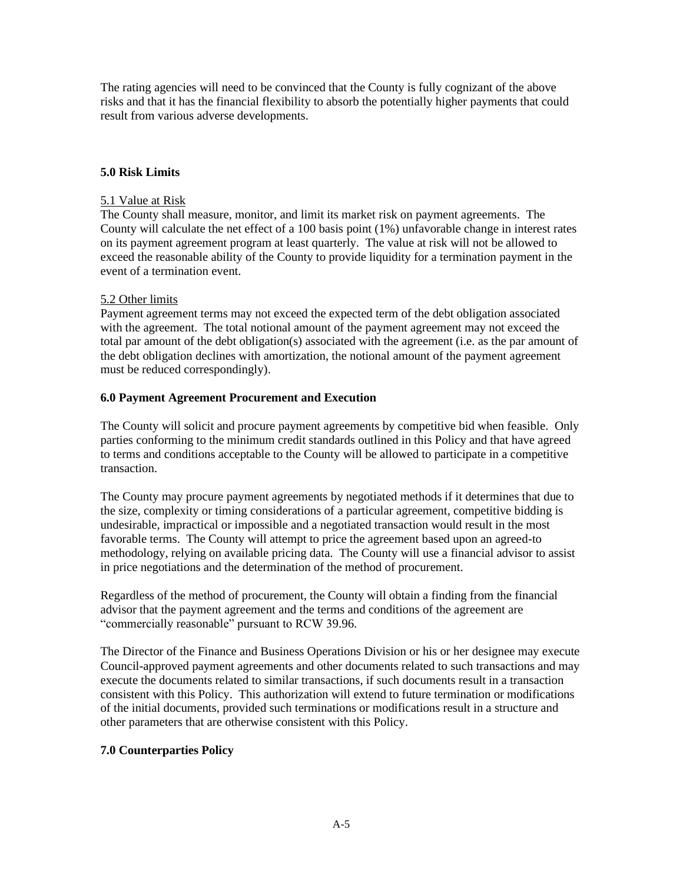The rating agencies will need to be convinced that the County is fully cognizant of the above risks and that it has the financial flexibility to absorb the potentially higher payments that could result from various adverse developments.

### **5.0 Risk Limits**

### 5.1 Value at Risk

The County shall measure, monitor, and limit its market risk on payment agreements. The County will calculate the net effect of a 100 basis point (1%) unfavorable change in interest rates on its payment agreement program at least quarterly. The value at risk will not be allowed to exceed the reasonable ability of the County to provide liquidity for a termination payment in the event of a termination event.

### 5.2 Other limits

Payment agreement terms may not exceed the expected term of the debt obligation associated with the agreement. The total notional amount of the payment agreement may not exceed the total par amount of the debt obligation(s) associated with the agreement (i.e. as the par amount of the debt obligation declines with amortization, the notional amount of the payment agreement must be reduced correspondingly).

### **6.0 Payment Agreement Procurement and Execution**

The County will solicit and procure payment agreements by competitive bid when feasible. Only parties conforming to the minimum credit standards outlined in this Policy and that have agreed to terms and conditions acceptable to the County will be allowed to participate in a competitive transaction.

The County may procure payment agreements by negotiated methods if it determines that due to the size, complexity or timing considerations of a particular agreement, competitive bidding is undesirable, impractical or impossible and a negotiated transaction would result in the most favorable terms. The County will attempt to price the agreement based upon an agreed-to methodology, relying on available pricing data. The County will use a financial advisor to assist in price negotiations and the determination of the method of procurement.

Regardless of the method of procurement, the County will obtain a finding from the financial advisor that the payment agreement and the terms and conditions of the agreement are "commercially reasonable" pursuant to RCW 39.96.

The Director of the Finance and Business Operations Division or his or her designee may execute Council-approved payment agreements and other documents related to such transactions and may execute the documents related to similar transactions, if such documents result in a transaction consistent with this Policy. This authorization will extend to future termination or modifications of the initial documents, provided such terminations or modifications result in a structure and other parameters that are otherwise consistent with this Policy.

### **7.0 Counterparties Policy**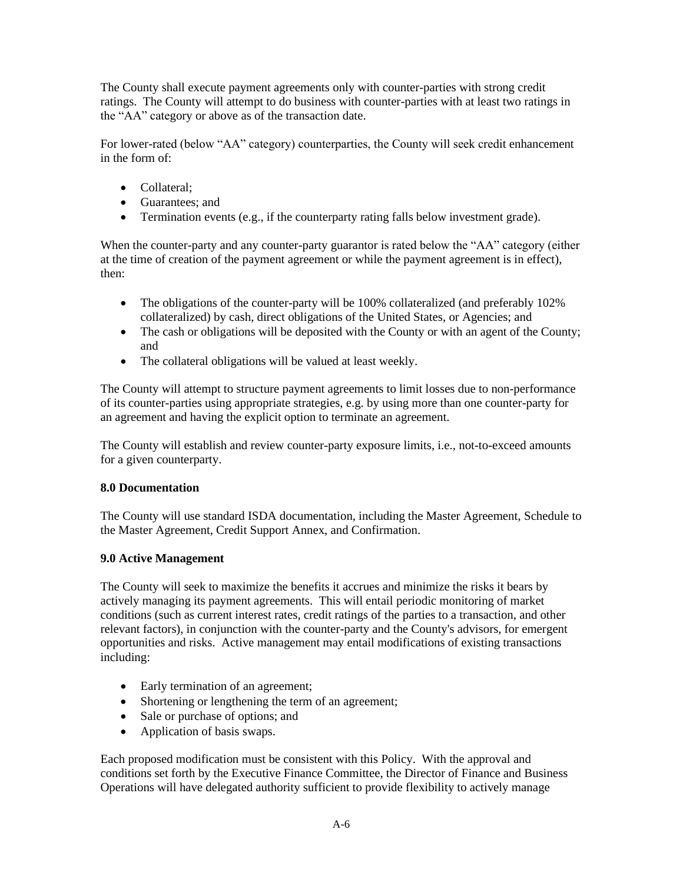The County shall execute payment agreements only with counter-parties with strong credit ratings. The County will attempt to do business with counter-parties with at least two ratings in the "AA" category or above as of the transaction date.

For lower-rated (below "AA" category) counterparties, the County will seek credit enhancement in the form of:

- Collateral:
- Guarantees; and
- Termination events (e.g., if the counterparty rating falls below investment grade).

When the counter-party and any counter-party guarantor is rated below the "AA" category (either at the time of creation of the payment agreement or while the payment agreement is in effect), then:

- The obligations of the counter-party will be 100% collateralized (and preferably 102%) collateralized) by cash, direct obligations of the United States, or Agencies; and
- The cash or obligations will be deposited with the County or with an agent of the County; and
- The collateral obligations will be valued at least weekly.

The County will attempt to structure payment agreements to limit losses due to non-performance of its counter-parties using appropriate strategies, e.g. by using more than one counter-party for an agreement and having the explicit option to terminate an agreement.

The County will establish and review counter-party exposure limits, i.e., not-to-exceed amounts for a given counterparty.

### **8.0 Documentation**

The County will use standard ISDA documentation, including the Master Agreement, Schedule to the Master Agreement, Credit Support Annex, and Confirmation.

## **9.0 Active Management**

The County will seek to maximize the benefits it accrues and minimize the risks it bears by actively managing its payment agreements. This will entail periodic monitoring of market conditions (such as current interest rates, credit ratings of the parties to a transaction, and other relevant factors), in conjunction with the counter-party and the County's advisors, for emergent opportunities and risks. Active management may entail modifications of existing transactions including:

- Early termination of an agreement;
- Shortening or lengthening the term of an agreement;
- Sale or purchase of options; and
- Application of basis swaps.

Each proposed modification must be consistent with this Policy. With the approval and conditions set forth by the Executive Finance Committee, the Director of Finance and Business Operations will have delegated authority sufficient to provide flexibility to actively manage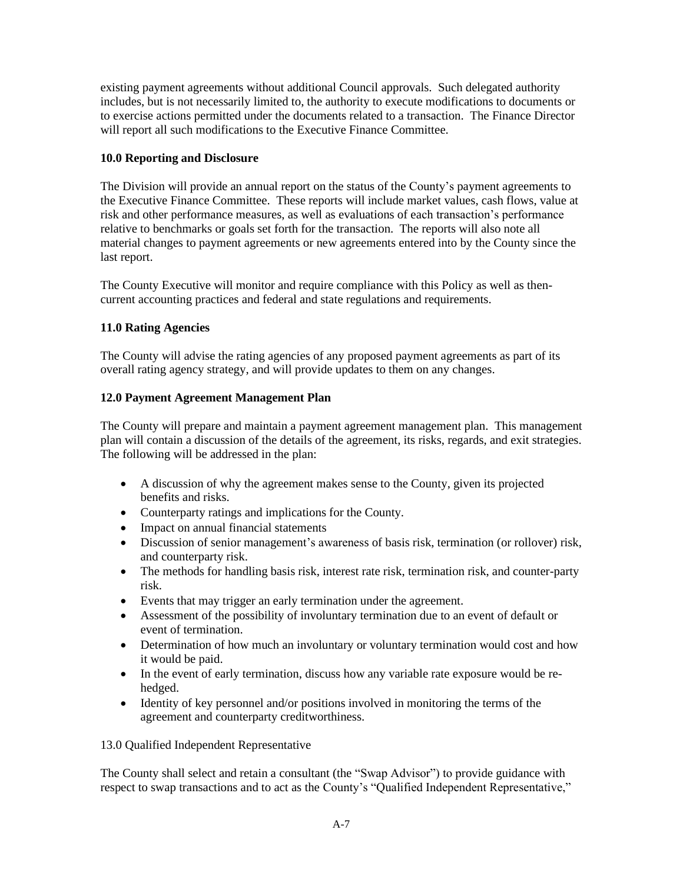existing payment agreements without additional Council approvals. Such delegated authority includes, but is not necessarily limited to, the authority to execute modifications to documents or to exercise actions permitted under the documents related to a transaction. The Finance Director will report all such modifications to the Executive Finance Committee.

## **10.0 Reporting and Disclosure**

The Division will provide an annual report on the status of the County's payment agreements to the Executive Finance Committee. These reports will include market values, cash flows, value at risk and other performance measures, as well as evaluations of each transaction's performance relative to benchmarks or goals set forth for the transaction. The reports will also note all material changes to payment agreements or new agreements entered into by the County since the last report.

The County Executive will monitor and require compliance with this Policy as well as thencurrent accounting practices and federal and state regulations and requirements.

## **11.0 Rating Agencies**

The County will advise the rating agencies of any proposed payment agreements as part of its overall rating agency strategy, and will provide updates to them on any changes.

## **12.0 Payment Agreement Management Plan**

The County will prepare and maintain a payment agreement management plan. This management plan will contain a discussion of the details of the agreement, its risks, regards, and exit strategies. The following will be addressed in the plan:

- A discussion of why the agreement makes sense to the County, given its projected benefits and risks.
- Counterparty ratings and implications for the County.
- Impact on annual financial statements
- Discussion of senior management's awareness of basis risk, termination (or rollover) risk, and counterparty risk.
- The methods for handling basis risk, interest rate risk, termination risk, and counter-party risk.
- Events that may trigger an early termination under the agreement.
- Assessment of the possibility of involuntary termination due to an event of default or event of termination.
- Determination of how much an involuntary or voluntary termination would cost and how it would be paid.
- In the event of early termination, discuss how any variable rate exposure would be rehedged.
- Identity of key personnel and/or positions involved in monitoring the terms of the agreement and counterparty creditworthiness.

### 13.0 Qualified Independent Representative

The County shall select and retain a consultant (the "Swap Advisor") to provide guidance with respect to swap transactions and to act as the County's "Qualified Independent Representative,"